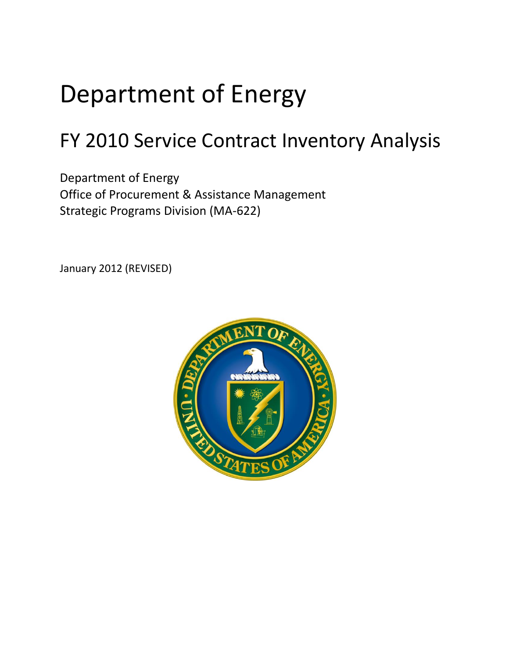# Department of Energy

## FY 2010 Service Contract Inventory Analysis

Department of Energy Office of Procurement & Assistance Management Strategic Programs Division (MA-622)

January 2012 (REVISED)

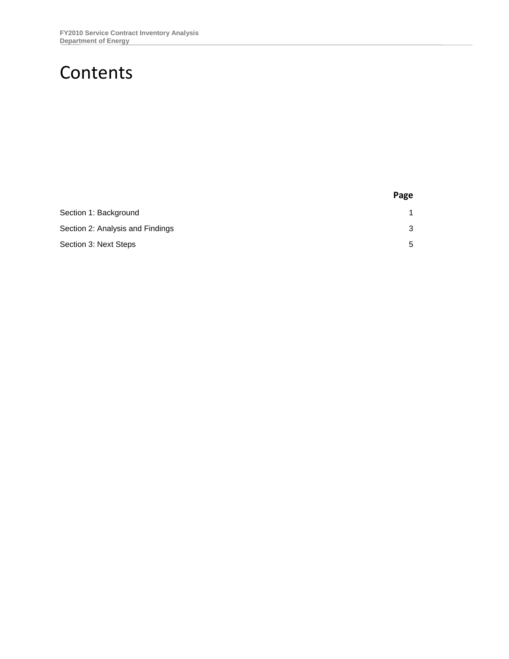### Contents

|                                  | Page |
|----------------------------------|------|
| Section 1: Background            |      |
| Section 2: Analysis and Findings | 3    |
| Section 3: Next Steps            | 5    |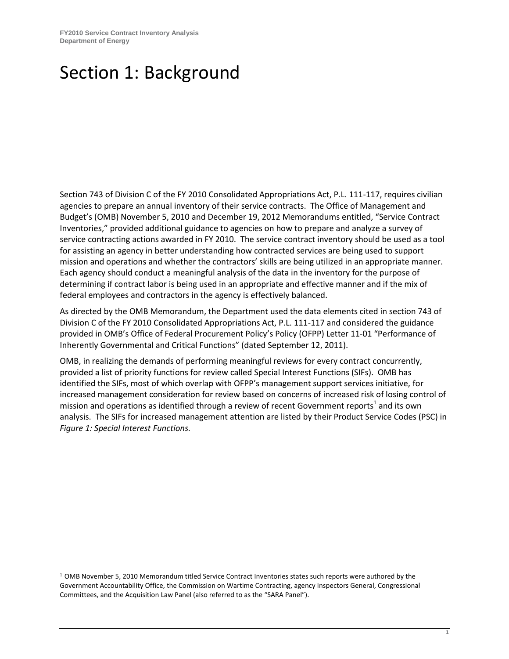-

### <span id="page-2-0"></span>Section 1: Background

Section 743 of Division C of the FY 2010 Consolidated Appropriations Act, P.L. 111-117, requires civilian agencies to prepare an annual inventory of their service contracts. The Office of Management and Budget's (OMB) November 5, 2010 and December 19, 2012 Memorandums entitled, "Service Contract Inventories," provided additional guidance to agencies on how to prepare and analyze a survey of service contracting actions awarded in FY 2010. The service contract inventory should be used as a tool for assisting an agency in better understanding how contracted services are being used to support mission and operations and whether the contractors' skills are being utilized in an appropriate manner. Each agency should conduct a meaningful analysis of the data in the inventory for the purpose of determining if contract labor is being used in an appropriate and effective manner and if the mix of federal employees and contractors in the agency is effectively balanced.

As directed by the OMB Memorandum, the Department used the data elements cited in section 743 of Division C of the FY 2010 Consolidated Appropriations Act, P.L. 111-117 and considered the guidance provided in OMB's Office of Federal Procurement Policy's Policy (OFPP) Letter 11-01 "Performance of Inherently Governmental and Critical Functions" (dated September 12, 2011).

OMB, in realizing the demands of performing meaningful reviews for every contract concurrently, provided a list of priority functions for review called Special Interest Functions (SIFs). OMB has identified the SIFs, most of which overlap with OFPP's management support services initiative, for increased management consideration for review based on concerns of increased risk of losing control of mission and operations as identified through a review of recent Government reports<sup>1</sup> and its own analysis. The SIFs for increased management attention are listed by their Product Service Codes (PSC) in *Figure 1: Special Interest Functions.*

<sup>1</sup> OMB November 5, 2010 Memorandum titled Service Contract Inventories states such reports were authored by the Government Accountability Office, the Commission on Wartime Contracting, agency Inspectors General, Congressional Committees, and the Acquisition Law Panel (also referred to as the "SARA Panel").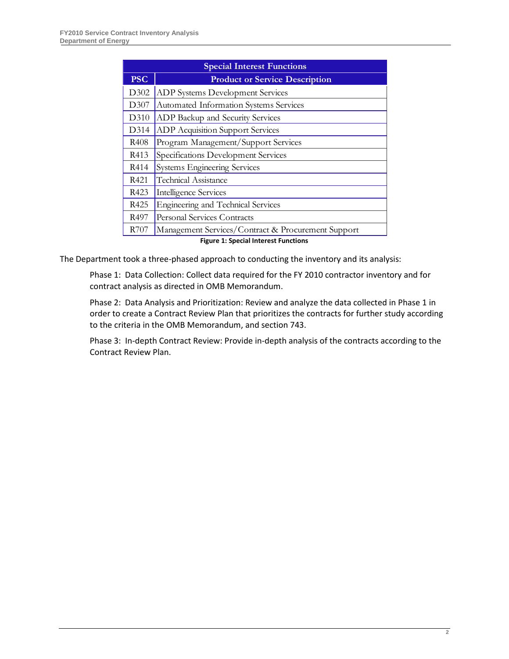| <b>Special Interest Functions</b> |                                                    |
|-----------------------------------|----------------------------------------------------|
| <b>PSC</b>                        | <b>Product or Service Description</b>              |
| D302                              | ADP Systems Development Services                   |
| D307                              | Automated Information Systems Services             |
| D310                              | ADP Backup and Security Services                   |
| D314                              | <b>ADP Acquisition Support Services</b>            |
| R408                              | Program Management/Support Services                |
| R413                              | Specifications Development Services                |
| R414                              | <b>Systems Engineering Services</b>                |
| R421                              | <b>Technical Assistance</b>                        |
| R423                              | Intelligence Services                              |
| R425                              | Engineering and Technical Services                 |
| R497                              | Personal Services Contracts                        |
| R707                              | Management Services/Contract & Procurement Support |

**Figure 1: Special Interest Functions**

The Department took a three-phased approach to conducting the inventory and its analysis:

Phase 1: Data Collection: Collect data required for the FY 2010 contractor inventory and for contract analysis as directed in OMB Memorandum.

Phase 2: Data Analysis and Prioritization: Review and analyze the data collected in Phase 1 in order to create a Contract Review Plan that prioritizes the contracts for further study according to the criteria in the OMB Memorandum, and section 743.

Phase 3: In-depth Contract Review: Provide in-depth analysis of the contracts according to the Contract Review Plan.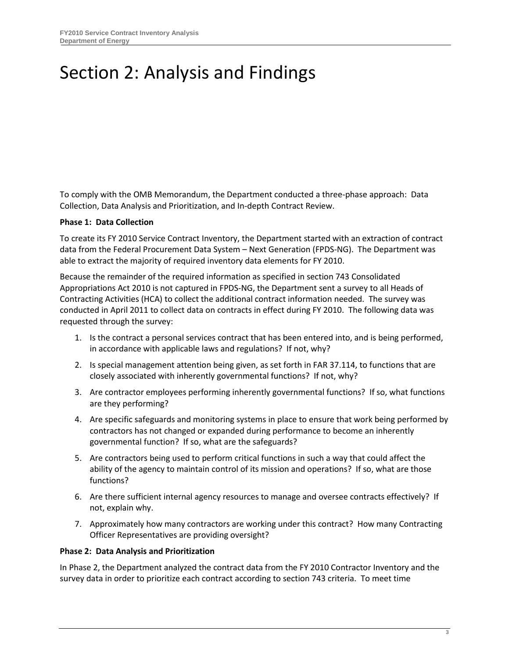### <span id="page-4-0"></span>Section 2: Analysis and Findings

To comply with the OMB Memorandum, the Department conducted a three-phase approach: Data Collection, Data Analysis and Prioritization, and In-depth Contract Review.

#### **Phase 1: Data Collection**

To create its FY 2010 Service Contract Inventory, the Department started with an extraction of contract data from the Federal Procurement Data System – Next Generation (FPDS-NG). The Department was able to extract the majority of required inventory data elements for FY 2010.

Because the remainder of the required information as specified in section 743 Consolidated Appropriations Act 2010 is not captured in FPDS-NG, the Department sent a survey to all Heads of Contracting Activities (HCA) to collect the additional contract information needed. The survey was conducted in April 2011 to collect data on contracts in effect during FY 2010. The following data was requested through the survey:

- 1. Is the contract a personal services contract that has been entered into, and is being performed, in accordance with applicable laws and regulations? If not, why?
- 2. Is special management attention being given, as set forth in FAR 37.114, to functions that are closely associated with inherently governmental functions? If not, why?
- 3. Are contractor employees performing inherently governmental functions? If so, what functions are they performing?
- 4. Are specific safeguards and monitoring systems in place to ensure that work being performed by contractors has not changed or expanded during performance to become an inherently governmental function? If so, what are the safeguards?
- 5. Are contractors being used to perform critical functions in such a way that could affect the ability of the agency to maintain control of its mission and operations? If so, what are those functions?
- 6. Are there sufficient internal agency resources to manage and oversee contracts effectively? If not, explain why.
- 7. Approximately how many contractors are working under this contract? How many Contracting Officer Representatives are providing oversight?

#### **Phase 2: Data Analysis and Prioritization**

In Phase 2, the Department analyzed the contract data from the FY 2010 Contractor Inventory and the survey data in order to prioritize each contract according to section 743 criteria. To meet time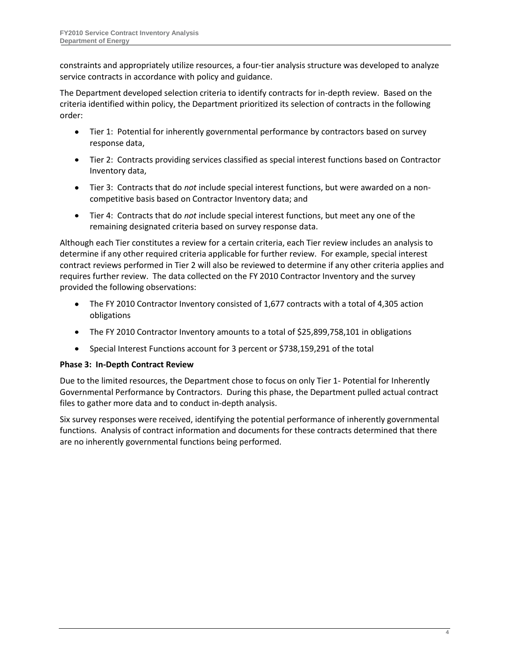constraints and appropriately utilize resources, a four-tier analysis structure was developed to analyze service contracts in accordance with policy and guidance.

The Department developed selection criteria to identify contracts for in-depth review. Based on the criteria identified within policy, the Department prioritized its selection of contracts in the following order:

- $\bullet$ Tier 1: Potential for inherently governmental performance by contractors based on survey response data,
- Tier 2: Contracts providing services classified as special interest functions based on Contractor Inventory data,
- Tier 3: Contracts that do *not* include special interest functions, but were awarded on a noncompetitive basis based on Contractor Inventory data; and
- Tier 4: Contracts that do *not* include special interest functions, but meet any one of the remaining designated criteria based on survey response data.

Although each Tier constitutes a review for a certain criteria, each Tier review includes an analysis to determine if any other required criteria applicable for further review. For example, special interest contract reviews performed in Tier 2 will also be reviewed to determine if any other criteria applies and requires further review. The data collected on the FY 2010 Contractor Inventory and the survey provided the following observations:

- The FY 2010 Contractor Inventory consisted of 1,677 contracts with a total of 4,305 action  $\bullet$ obligations
- The FY 2010 Contractor Inventory amounts to a total of \$25,899,758,101 in obligations  $\bullet$
- Special Interest Functions account for 3 percent or \$738,159,291 of the total

#### **Phase 3: In-Depth Contract Review**

Due to the limited resources, the Department chose to focus on only Tier 1- Potential for Inherently Governmental Performance by Contractors. During this phase, the Department pulled actual contract files to gather more data and to conduct in-depth analysis.

Six survey responses were received, identifying the potential performance of inherently governmental functions. Analysis of contract information and documents for these contracts determined that there are no inherently governmental functions being performed.